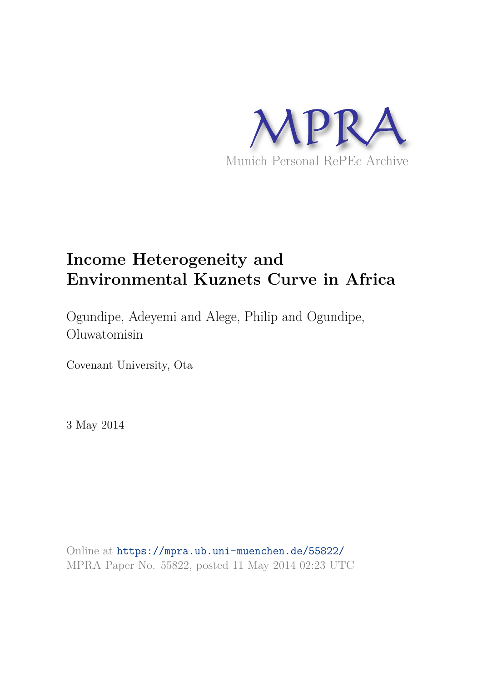

# **Income Heterogeneity and Environmental Kuznets Curve in Africa**

Ogundipe, Adeyemi and Alege, Philip and Ogundipe, Oluwatomisin

Covenant University, Ota

3 May 2014

Online at https://mpra.ub.uni-muenchen.de/55822/ MPRA Paper No. 55822, posted 11 May 2014 02:23 UTC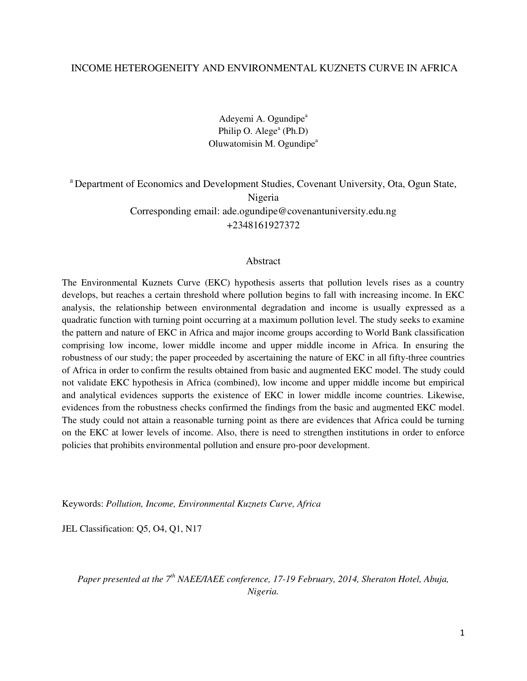# INCOME HETEROGENEITY AND ENVIRONMENTAL KUZNETS CURVE IN AFRICA

Adeyemi A. Ogundipe<sup>a</sup> Philip O. Alege<sup>a</sup> (Ph.D) Oluwatomisin M. Ogundipe $a$ 

<sup>a</sup> Department of Economics and Development Studies, Covenant University, Ota, Ogun State, Nigeria Corresponding email: ade.ogundipe@covenantuniversity.edu.ng +2348161927372

#### Abstract

The Environmental Kuznets Curve (EKC) hypothesis asserts that pollution levels rises as a country develops, but reaches a certain threshold where pollution begins to fall with increasing income. In EKC analysis, the relationship between environmental degradation and income is usually expressed as a quadratic function with turning point occurring at a maximum pollution level. The study seeks to examine the pattern and nature of EKC in Africa and major income groups according to World Bank classification comprising low income, lower middle income and upper middle income in Africa. In ensuring the robustness of our study; the paper proceeded by ascertaining the nature of EKC in all fifty-three countries of Africa in order to confirm the results obtained from basic and augmented EKC model. The study could not validate EKC hypothesis in Africa (combined), low income and upper middle income but empirical and analytical evidences supports the existence of EKC in lower middle income countries. Likewise, evidences from the robustness checks confirmed the findings from the basic and augmented EKC model. The study could not attain a reasonable turning point as there are evidences that Africa could be turning on the EKC at lower levels of income. Also, there is need to strengthen institutions in order to enforce policies that prohibits environmental pollution and ensure pro-poor development.

Keywords: *Pollution, Income, Environmental Kuznets Curve, Africa*

JEL Classification: Q5, O4, Q1, N17

*Paper presented at the 7th NAEE/IAEE conference, 17-19 February, 2014, Sheraton Hotel, Abuja, Nigeria.*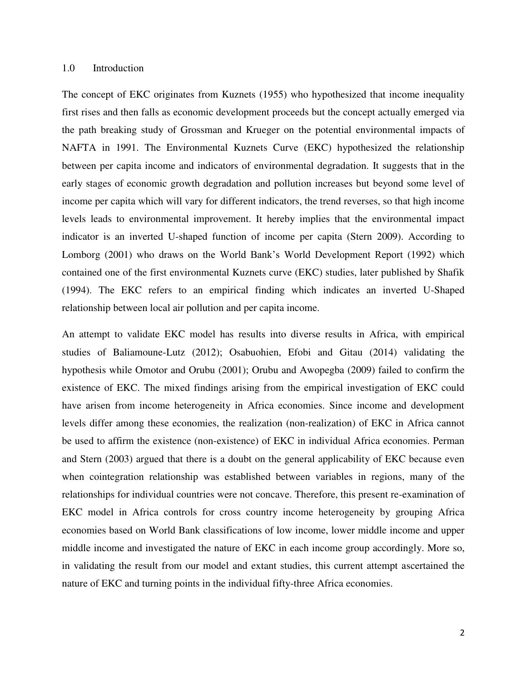### 1.0 Introduction

The concept of EKC originates from Kuznets (1955) who hypothesized that income inequality first rises and then falls as economic development proceeds but the concept actually emerged via the path breaking study of Grossman and Krueger on the potential environmental impacts of NAFTA in 1991. The Environmental Kuznets Curve (EKC) hypothesized the relationship between per capita income and indicators of environmental degradation. It suggests that in the early stages of economic growth degradation and pollution increases but beyond some level of income per capita which will vary for different indicators, the trend reverses, so that high income levels leads to environmental improvement. It hereby implies that the environmental impact indicator is an inverted U-shaped function of income per capita (Stern 2009). According to Lomborg (2001) who draws on the World Bank's World Development Report (1992) which contained one of the first environmental Kuznets curve (EKC) studies, later published by Shafik (1994). The EKC refers to an empirical finding which indicates an inverted U-Shaped relationship between local air pollution and per capita income.

An attempt to validate EKC model has results into diverse results in Africa, with empirical studies of Baliamoune-Lutz (2012); Osabuohien, Efobi and Gitau (2014) validating the hypothesis while Omotor and Orubu (2001); Orubu and Awopegba (2009) failed to confirm the existence of EKC. The mixed findings arising from the empirical investigation of EKC could have arisen from income heterogeneity in Africa economies. Since income and development levels differ among these economies, the realization (non-realization) of EKC in Africa cannot be used to affirm the existence (non-existence) of EKC in individual Africa economies. Perman and Stern (2003) argued that there is a doubt on the general applicability of EKC because even when cointegration relationship was established between variables in regions, many of the relationships for individual countries were not concave. Therefore, this present re-examination of EKC model in Africa controls for cross country income heterogeneity by grouping Africa economies based on World Bank classifications of low income, lower middle income and upper middle income and investigated the nature of EKC in each income group accordingly. More so, in validating the result from our model and extant studies, this current attempt ascertained the nature of EKC and turning points in the individual fifty-three Africa economies.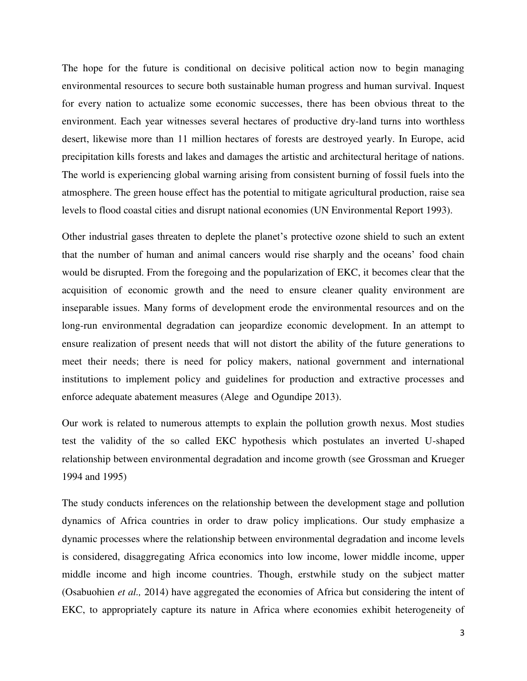The hope for the future is conditional on decisive political action now to begin managing environmental resources to secure both sustainable human progress and human survival. Inquest for every nation to actualize some economic successes, there has been obvious threat to the environment. Each year witnesses several hectares of productive dry-land turns into worthless desert, likewise more than 11 million hectares of forests are destroyed yearly. In Europe, acid precipitation kills forests and lakes and damages the artistic and architectural heritage of nations. The world is experiencing global warning arising from consistent burning of fossil fuels into the atmosphere. The green house effect has the potential to mitigate agricultural production, raise sea levels to flood coastal cities and disrupt national economies (UN Environmental Report 1993).

Other industrial gases threaten to deplete the planet's protective ozone shield to such an extent that the number of human and animal cancers would rise sharply and the oceans' food chain would be disrupted. From the foregoing and the popularization of EKC, it becomes clear that the acquisition of economic growth and the need to ensure cleaner quality environment are inseparable issues. Many forms of development erode the environmental resources and on the long-run environmental degradation can jeopardize economic development. In an attempt to ensure realization of present needs that will not distort the ability of the future generations to meet their needs; there is need for policy makers, national government and international institutions to implement policy and guidelines for production and extractive processes and enforce adequate abatement measures (Alege and Ogundipe 2013).

Our work is related to numerous attempts to explain the pollution growth nexus. Most studies test the validity of the so called EKC hypothesis which postulates an inverted U-shaped relationship between environmental degradation and income growth (see Grossman and Krueger 1994 and 1995)

The study conducts inferences on the relationship between the development stage and pollution dynamics of Africa countries in order to draw policy implications. Our study emphasize a dynamic processes where the relationship between environmental degradation and income levels is considered, disaggregating Africa economics into low income, lower middle income, upper middle income and high income countries. Though, erstwhile study on the subject matter (Osabuohien *et al.,* 2014) have aggregated the economies of Africa but considering the intent of EKC, to appropriately capture its nature in Africa where economies exhibit heterogeneity of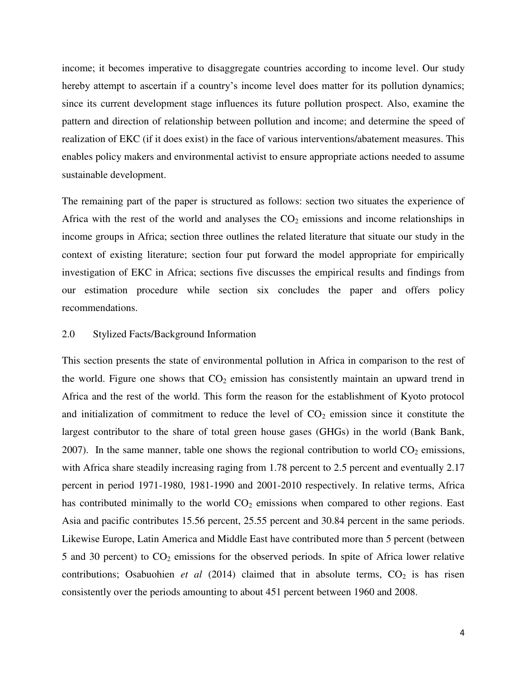income; it becomes imperative to disaggregate countries according to income level. Our study hereby attempt to ascertain if a country's income level does matter for its pollution dynamics; since its current development stage influences its future pollution prospect. Also, examine the pattern and direction of relationship between pollution and income; and determine the speed of realization of EKC (if it does exist) in the face of various interventions/abatement measures. This enables policy makers and environmental activist to ensure appropriate actions needed to assume sustainable development.

The remaining part of the paper is structured as follows: section two situates the experience of Africa with the rest of the world and analyses the  $CO<sub>2</sub>$  emissions and income relationships in income groups in Africa; section three outlines the related literature that situate our study in the context of existing literature; section four put forward the model appropriate for empirically investigation of EKC in Africa; sections five discusses the empirical results and findings from our estimation procedure while section six concludes the paper and offers policy recommendations.

#### 2.0 Stylized Facts/Background Information

This section presents the state of environmental pollution in Africa in comparison to the rest of the world. Figure one shows that  $CO<sub>2</sub>$  emission has consistently maintain an upward trend in Africa and the rest of the world. This form the reason for the establishment of Kyoto protocol and initialization of commitment to reduce the level of  $CO<sub>2</sub>$  emission since it constitute the largest contributor to the share of total green house gases (GHGs) in the world (Bank Bank, 2007). In the same manner, table one shows the regional contribution to world  $CO<sub>2</sub>$  emissions, with Africa share steadily increasing raging from 1.78 percent to 2.5 percent and eventually 2.17 percent in period 1971-1980, 1981-1990 and 2001-2010 respectively. In relative terms, Africa has contributed minimally to the world  $CO<sub>2</sub>$  emissions when compared to other regions. East Asia and pacific contributes 15.56 percent, 25.55 percent and 30.84 percent in the same periods. Likewise Europe, Latin America and Middle East have contributed more than 5 percent (between 5 and 30 percent) to  $CO_2$  emissions for the observed periods. In spite of Africa lower relative contributions; Osabuohien *et al*  $(2014)$  claimed that in absolute terms,  $CO<sub>2</sub>$  is has risen consistently over the periods amounting to about 451 percent between 1960 and 2008.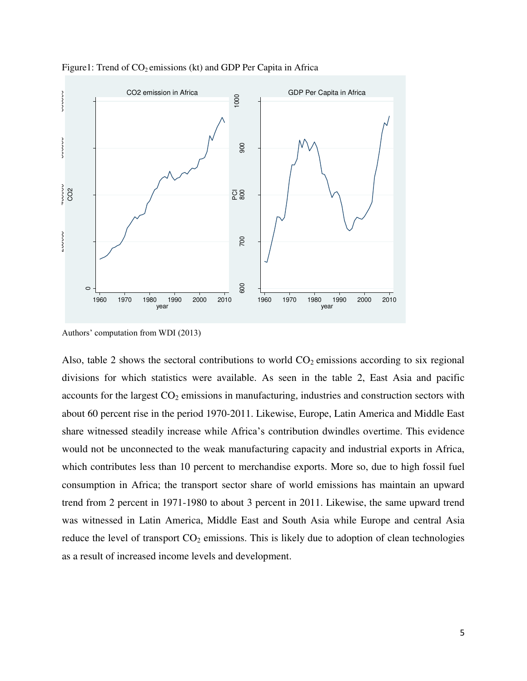

Figure1: Trend of  $CO_2$  emissions (kt) and GDP Per Capita in Africa

Authors' computation from WDI (2013)

Also, table 2 shows the sectoral contributions to world  $CO<sub>2</sub>$  emissions according to six regional divisions for which statistics were available. As seen in the table 2, East Asia and pacific accounts for the largest  $CO<sub>2</sub>$  emissions in manufacturing, industries and construction sectors with about 60 percent rise in the period 1970-2011. Likewise, Europe, Latin America and Middle East share witnessed steadily increase while Africa's contribution dwindles overtime. This evidence would not be unconnected to the weak manufacturing capacity and industrial exports in Africa, which contributes less than 10 percent to merchandise exports. More so, due to high fossil fuel consumption in Africa; the transport sector share of world emissions has maintain an upward trend from 2 percent in 1971-1980 to about 3 percent in 2011. Likewise, the same upward trend was witnessed in Latin America, Middle East and South Asia while Europe and central Asia reduce the level of transport  $CO<sub>2</sub>$  emissions. This is likely due to adoption of clean technologies as a result of increased income levels and development.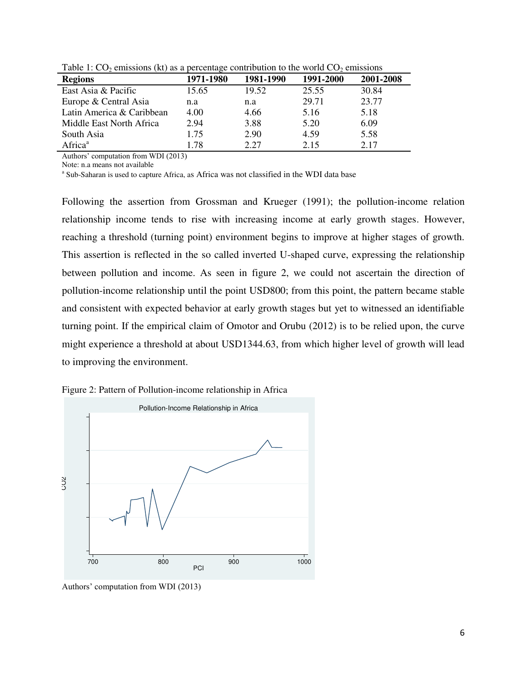| <b>Regions</b>            | 1971-1980 | 1981-1990 | 1991-2000 | 2001-2008 |
|---------------------------|-----------|-----------|-----------|-----------|
| East Asia & Pacific       | 15.65     | 19.52     | 25.55     | 30.84     |
| Europe & Central Asia     | n.a       | n.a       | 29.71     | 23.77     |
| Latin America & Caribbean | 4.00      | 4.66      | 5.16      | 5.18      |
| Middle East North Africa  | 2.94      | 3.88      | 5.20      | 6.09      |
| South Asia                | 1.75      | 2.90      | 4.59      | 5.58      |
| Africa <sup>a</sup>       | 1 78      | 2.27      | 2.15      | 2.17      |

Table 1:  $CO_2$  emissions (kt) as a percentage contribution to the world  $CO_2$  emissions

Authors' computation from WDI (2013)

Note: n.a means not available

<sup>a</sup> Sub-Saharan is used to capture Africa, as Africa was not classified in the WDI data base

Following the assertion from Grossman and Krueger (1991); the pollution-income relation relationship income tends to rise with increasing income at early growth stages. However, reaching a threshold (turning point) environment begins to improve at higher stages of growth. This assertion is reflected in the so called inverted U-shaped curve, expressing the relationship between pollution and income. As seen in figure 2, we could not ascertain the direction of pollution-income relationship until the point USD800; from this point, the pattern became stable and consistent with expected behavior at early growth stages but yet to witnessed an identifiable turning point. If the empirical claim of Omotor and Orubu (2012) is to be relied upon, the curve might experience a threshold at about USD1344.63, from which higher level of growth will lead to improving the environment.



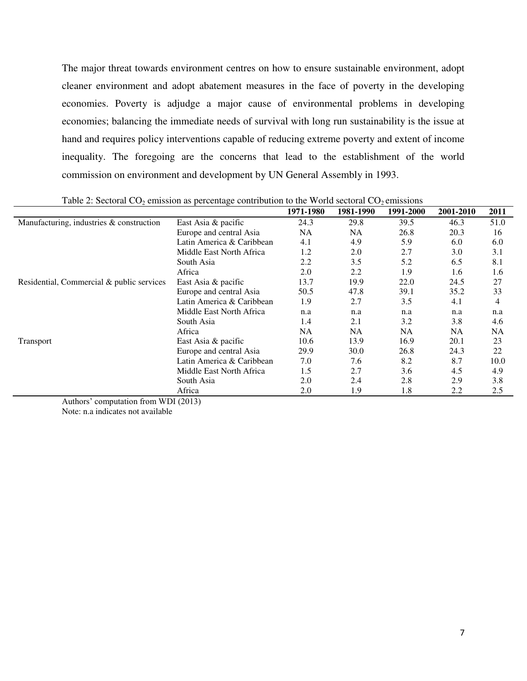The major threat towards environment centres on how to ensure sustainable environment, adopt cleaner environment and adopt abatement measures in the face of poverty in the developing economies. Poverty is adjudge a major cause of environmental problems in developing economies; balancing the immediate needs of survival with long run sustainability is the issue at hand and requires policy interventions capable of reducing extreme poverty and extent of income inequality. The foregoing are the concerns that lead to the establishment of the world commission on environment and development by UN General Assembly in 1993.

|                                           |                           | 1971-1980 | 1981-1990 | 1991-2000 | 2001-2010 | 2011 |
|-------------------------------------------|---------------------------|-----------|-----------|-----------|-----------|------|
| Manufacturing, industries & construction  | East Asia & pacific       | 24.3      | 29.8      | 39.5      | 46.3      | 51.0 |
|                                           | Europe and central Asia   | <b>NA</b> | NA        | 26.8      | 20.3      | 16   |
|                                           | Latin America & Caribbean | 4.1       | 4.9       | 5.9       | 6.0       | 6.0  |
|                                           | Middle East North Africa  | 1.2       | 2.0       | 2.7       | 3.0       | 3.1  |
|                                           | South Asia                | 2.2       | 3.5       | 5.2       | 6.5       | 8.1  |
|                                           | Africa                    | 2.0       | 2.2       | 1.9       | 1.6       | 1.6  |
| Residential, Commercial & public services | East Asia & pacific       | 13.7      | 19.9      | 22.0      | 24.5      | 27   |
|                                           | Europe and central Asia   | 50.5      | 47.8      | 39.1      | 35.2      | 33   |
|                                           | Latin America & Caribbean | 1.9       | 2.7       | 3.5       | 4.1       | 4    |
|                                           | Middle East North Africa  | n.a       | n.a       | n.a       | n.a       | n.a  |
|                                           | South Asia                | 1.4       | 2.1       | 3.2       | 3.8       | 4.6  |
|                                           | Africa                    | NA        | <b>NA</b> | NA        | NA        | NA   |
| <b>Transport</b>                          | East Asia & pacific       | 10.6      | 13.9      | 16.9      | 20.1      | 23   |
|                                           | Europe and central Asia   | 29.9      | 30.0      | 26.8      | 24.3      | 22   |
|                                           | Latin America & Caribbean | 7.0       | 7.6       | 8.2       | 8.7       | 10.0 |
|                                           | Middle East North Africa  | 1.5       | 2.7       | 3.6       | 4.5       | 4.9  |
|                                           | South Asia                | 2.0       | 2.4       | 2.8       | 2.9       | 3.8  |
|                                           | Africa                    | 2.0       | 1.9       | 1.8       | 2.2       | 2.5  |

Table 2: Sectoral  $CO_2$  emission as percentage contribution to the World sectoral  $CO_2$  emissions

Authors' computation from WDI (2013) Note: n.a indicates not available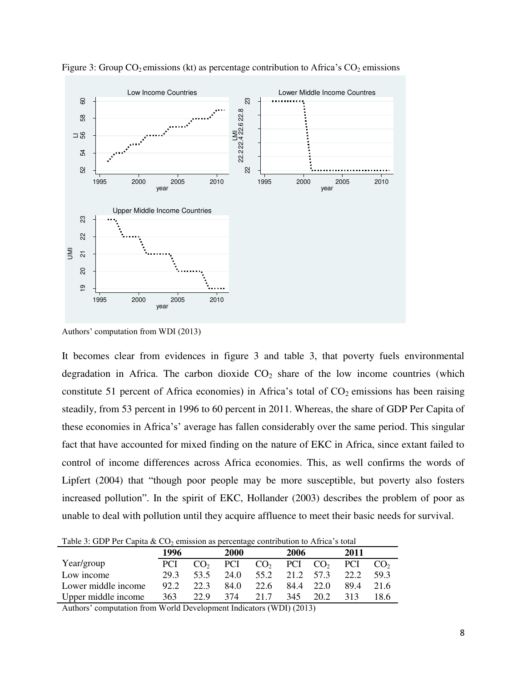

Figure 3: Group  $CO_2$  emissions (kt) as percentage contribution to Africa's  $CO_2$  emissions

Authors' computation from WDI (2013)

It becomes clear from evidences in figure 3 and table 3, that poverty fuels environmental degradation in Africa. The carbon dioxide  $CO<sub>2</sub>$  share of the low income countries (which constitute 51 percent of Africa economies) in Africa's total of  $CO<sub>2</sub>$  emissions has been raising steadily, from 53 percent in 1996 to 60 percent in 2011. Whereas, the share of GDP Per Capita of these economies in Africa's' average has fallen considerably over the same period. This singular fact that have accounted for mixed finding on the nature of EKC in Africa, since extant failed to control of income differences across Africa economies. This, as well confirms the words of Lipfert (2004) that "though poor people may be more susceptible, but poverty also fosters increased pollution". In the spirit of EKC, Hollander (2003) describes the problem of poor as unable to deal with pollution until they acquire affluence to meet their basic needs for survival.

Table 3: GDP Per Capita &  $CO<sub>2</sub>$  emission as percentage contribution to Africa's total

|                     | 1996       |                 | 2000 |                 | 2006                |      | 2011       |                 |
|---------------------|------------|-----------------|------|-----------------|---------------------|------|------------|-----------------|
| Year/group          | <b>PCI</b> | CO <sub>2</sub> | PCI  | CO <sub>2</sub> | PCI CO <sub>2</sub> |      | <b>PCI</b> | CO <sub>2</sub> |
| Low income          | 29.3       | 53.5            | 24.0 | 55.2            | 21.2 57.3           |      | 22.2       | 59.3            |
| Lower middle income | 92.2       | 22.3            | 84.0 | 22.6            | 84.4 22.0           |      | 894        | 21.6            |
| Upper middle income | 363        | 22.9            | 374  | 21.7            | 345                 | 20.2 | 313        | 18.6            |
|                     |            |                 |      |                 |                     |      |            |                 |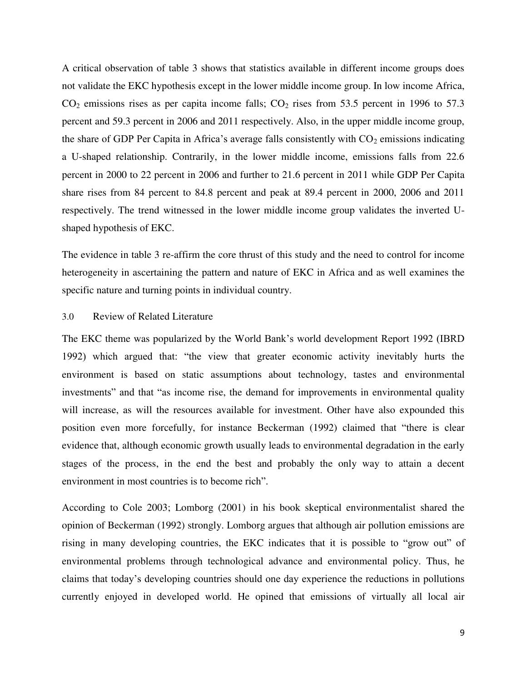A critical observation of table 3 shows that statistics available in different income groups does not validate the EKC hypothesis except in the lower middle income group. In low income Africa,  $CO<sub>2</sub>$  emissions rises as per capita income falls;  $CO<sub>2</sub>$  rises from 53.5 percent in 1996 to 57.3 percent and 59.3 percent in 2006 and 2011 respectively. Also, in the upper middle income group, the share of GDP Per Capita in Africa's average falls consistently with  $CO<sub>2</sub>$  emissions indicating a U-shaped relationship. Contrarily, in the lower middle income, emissions falls from 22.6 percent in 2000 to 22 percent in 2006 and further to 21.6 percent in 2011 while GDP Per Capita share rises from 84 percent to 84.8 percent and peak at 89.4 percent in 2000, 2006 and 2011 respectively. The trend witnessed in the lower middle income group validates the inverted Ushaped hypothesis of EKC.

The evidence in table 3 re-affirm the core thrust of this study and the need to control for income heterogeneity in ascertaining the pattern and nature of EKC in Africa and as well examines the specific nature and turning points in individual country.

# 3.0 Review of Related Literature

The EKC theme was popularized by the World Bank's world development Report 1992 (IBRD 1992) which argued that: "the view that greater economic activity inevitably hurts the environment is based on static assumptions about technology, tastes and environmental investments" and that "as income rise, the demand for improvements in environmental quality will increase, as will the resources available for investment. Other have also expounded this position even more forcefully, for instance Beckerman (1992) claimed that "there is clear evidence that, although economic growth usually leads to environmental degradation in the early stages of the process, in the end the best and probably the only way to attain a decent environment in most countries is to become rich".

According to Cole 2003; Lomborg (2001) in his book skeptical environmentalist shared the opinion of Beckerman (1992) strongly. Lomborg argues that although air pollution emissions are rising in many developing countries, the EKC indicates that it is possible to "grow out" of environmental problems through technological advance and environmental policy. Thus, he claims that today's developing countries should one day experience the reductions in pollutions currently enjoyed in developed world. He opined that emissions of virtually all local air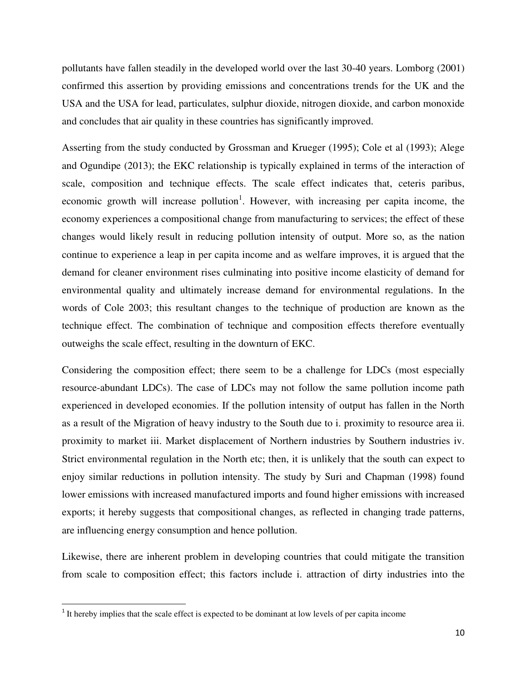pollutants have fallen steadily in the developed world over the last 30-40 years. Lomborg (2001) confirmed this assertion by providing emissions and concentrations trends for the UK and the USA and the USA for lead, particulates, sulphur dioxide, nitrogen dioxide, and carbon monoxide and concludes that air quality in these countries has significantly improved.

Asserting from the study conducted by Grossman and Krueger (1995); Cole et al (1993); Alege and Ogundipe (2013); the EKC relationship is typically explained in terms of the interaction of scale, composition and technique effects. The scale effect indicates that, ceteris paribus, economic growth will increase pollution<sup>1</sup>. However, with increasing per capita income, the economy experiences a compositional change from manufacturing to services; the effect of these changes would likely result in reducing pollution intensity of output. More so, as the nation continue to experience a leap in per capita income and as welfare improves, it is argued that the demand for cleaner environment rises culminating into positive income elasticity of demand for environmental quality and ultimately increase demand for environmental regulations. In the words of Cole 2003; this resultant changes to the technique of production are known as the technique effect. The combination of technique and composition effects therefore eventually outweighs the scale effect, resulting in the downturn of EKC.

Considering the composition effect; there seem to be a challenge for LDCs (most especially resource-abundant LDCs). The case of LDCs may not follow the same pollution income path experienced in developed economies. If the pollution intensity of output has fallen in the North as a result of the Migration of heavy industry to the South due to i. proximity to resource area ii. proximity to market iii. Market displacement of Northern industries by Southern industries iv. Strict environmental regulation in the North etc; then, it is unlikely that the south can expect to enjoy similar reductions in pollution intensity. The study by Suri and Chapman (1998) found lower emissions with increased manufactured imports and found higher emissions with increased exports; it hereby suggests that compositional changes, as reflected in changing trade patterns, are influencing energy consumption and hence pollution.

Likewise, there are inherent problem in developing countries that could mitigate the transition from scale to composition effect; this factors include i. attraction of dirty industries into the

l

<sup>&</sup>lt;sup>1</sup> It hereby implies that the scale effect is expected to be dominant at low levels of per capita income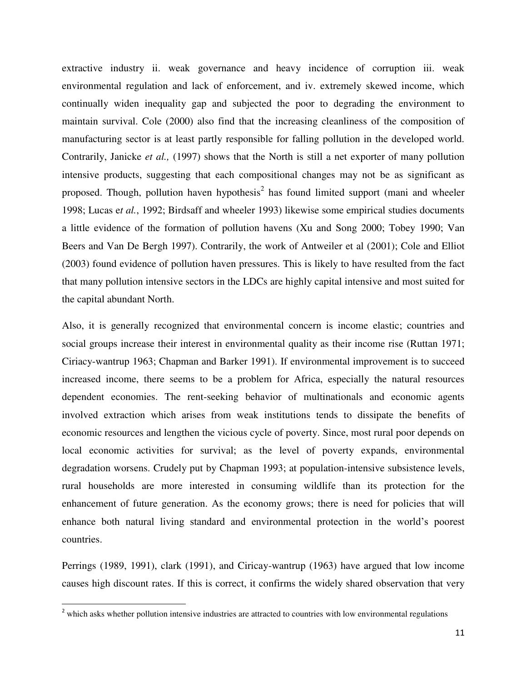extractive industry ii. weak governance and heavy incidence of corruption iii. weak environmental regulation and lack of enforcement, and iv. extremely skewed income, which continually widen inequality gap and subjected the poor to degrading the environment to maintain survival. Cole (2000) also find that the increasing cleanliness of the composition of manufacturing sector is at least partly responsible for falling pollution in the developed world. Contrarily, Janicke *et al.,* (1997) shows that the North is still a net exporter of many pollution intensive products, suggesting that each compositional changes may not be as significant as proposed. Though, pollution haven hypothesis<sup>2</sup> has found limited support (mani and wheeler 1998; Lucas e*t al.*, 1992; Birdsaff and wheeler 1993) likewise some empirical studies documents a little evidence of the formation of pollution havens (Xu and Song 2000; Tobey 1990; Van Beers and Van De Bergh 1997). Contrarily, the work of Antweiler et al (2001); Cole and Elliot (2003) found evidence of pollution haven pressures. This is likely to have resulted from the fact that many pollution intensive sectors in the LDCs are highly capital intensive and most suited for the capital abundant North.

Also, it is generally recognized that environmental concern is income elastic; countries and social groups increase their interest in environmental quality as their income rise (Ruttan 1971; Ciriacy-wantrup 1963; Chapman and Barker 1991). If environmental improvement is to succeed increased income, there seems to be a problem for Africa, especially the natural resources dependent economies. The rent-seeking behavior of multinationals and economic agents involved extraction which arises from weak institutions tends to dissipate the benefits of economic resources and lengthen the vicious cycle of poverty. Since, most rural poor depends on local economic activities for survival; as the level of poverty expands, environmental degradation worsens. Crudely put by Chapman 1993; at population-intensive subsistence levels, rural households are more interested in consuming wildlife than its protection for the enhancement of future generation. As the economy grows; there is need for policies that will enhance both natural living standard and environmental protection in the world's poorest countries.

Perrings (1989, 1991), clark (1991), and Ciricay-wantrup (1963) have argued that low income causes high discount rates. If this is correct, it confirms the widely shared observation that very

l

<sup>&</sup>lt;sup>2</sup> which asks whether pollution intensive industries are attracted to countries with low environmental regulations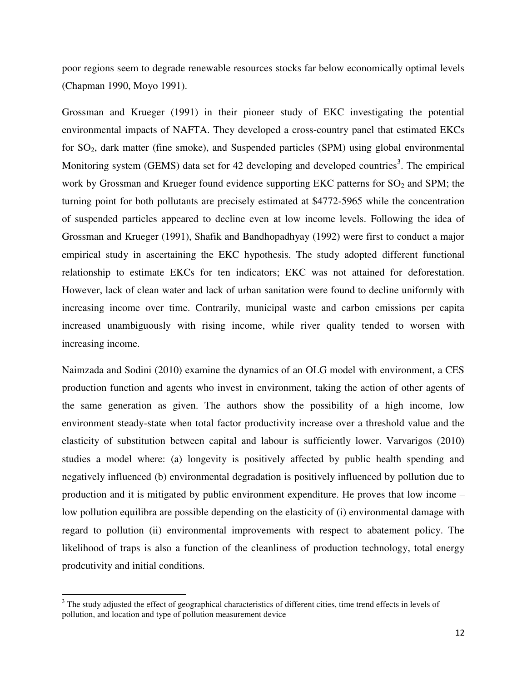poor regions seem to degrade renewable resources stocks far below economically optimal levels (Chapman 1990, Moyo 1991).

Grossman and Krueger (1991) in their pioneer study of EKC investigating the potential environmental impacts of NAFTA. They developed a cross-country panel that estimated EKCs for SO2, dark matter (fine smoke), and Suspended particles (SPM) using global environmental Monitoring system (GEMS) data set for 42 developing and developed countries<sup>3</sup>. The empirical work by Grossman and Krueger found evidence supporting EKC patterns for  $SO<sub>2</sub>$  and SPM; the turning point for both pollutants are precisely estimated at \$4772-5965 while the concentration of suspended particles appeared to decline even at low income levels. Following the idea of Grossman and Krueger (1991), Shafik and Bandhopadhyay (1992) were first to conduct a major empirical study in ascertaining the EKC hypothesis. The study adopted different functional relationship to estimate EKCs for ten indicators; EKC was not attained for deforestation. However, lack of clean water and lack of urban sanitation were found to decline uniformly with increasing income over time. Contrarily, municipal waste and carbon emissions per capita increased unambiguously with rising income, while river quality tended to worsen with increasing income.

Naimzada and Sodini (2010) examine the dynamics of an OLG model with environment, a CES production function and agents who invest in environment, taking the action of other agents of the same generation as given. The authors show the possibility of a high income, low environment steady-state when total factor productivity increase over a threshold value and the elasticity of substitution between capital and labour is sufficiently lower. Varvarigos (2010) studies a model where: (a) longevity is positively affected by public health spending and negatively influenced (b) environmental degradation is positively influenced by pollution due to production and it is mitigated by public environment expenditure. He proves that low income – low pollution equilibra are possible depending on the elasticity of (i) environmental damage with regard to pollution (ii) environmental improvements with respect to abatement policy. The likelihood of traps is also a function of the cleanliness of production technology, total energy prodcutivity and initial conditions.

 $\overline{a}$ 

 $3$  The study adjusted the effect of geographical characteristics of different cities, time trend effects in levels of pollution, and location and type of pollution measurement device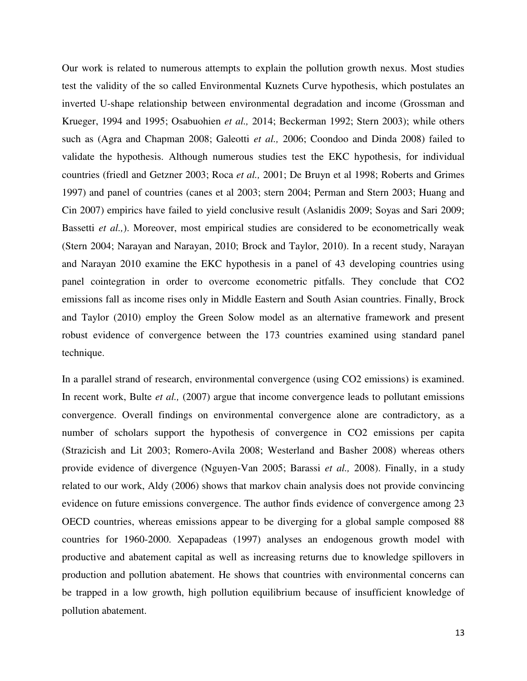Our work is related to numerous attempts to explain the pollution growth nexus. Most studies test the validity of the so called Environmental Kuznets Curve hypothesis, which postulates an inverted U-shape relationship between environmental degradation and income (Grossman and Krueger, 1994 and 1995; Osabuohien *et al.,* 2014; Beckerman 1992; Stern 2003); while others such as (Agra and Chapman 2008; Galeotti *et al.,* 2006; Coondoo and Dinda 2008) failed to validate the hypothesis. Although numerous studies test the EKC hypothesis, for individual countries (friedl and Getzner 2003; Roca *et al.,* 2001; De Bruyn et al 1998; Roberts and Grimes 1997) and panel of countries (canes et al 2003; stern 2004; Perman and Stern 2003; Huang and Cin 2007) empirics have failed to yield conclusive result (Aslanidis 2009; Soyas and Sari 2009; Bassetti *et al.,*). Moreover, most empirical studies are considered to be econometrically weak (Stern 2004; Narayan and Narayan, 2010; Brock and Taylor, 2010). In a recent study, Narayan and Narayan 2010 examine the EKC hypothesis in a panel of 43 developing countries using panel cointegration in order to overcome econometric pitfalls. They conclude that CO2 emissions fall as income rises only in Middle Eastern and South Asian countries. Finally, Brock and Taylor (2010) employ the Green Solow model as an alternative framework and present robust evidence of convergence between the 173 countries examined using standard panel technique.

In a parallel strand of research, environmental convergence (using CO2 emissions) is examined. In recent work, Bulte *et al.,* (2007) argue that income convergence leads to pollutant emissions convergence. Overall findings on environmental convergence alone are contradictory, as a number of scholars support the hypothesis of convergence in CO2 emissions per capita (Strazicish and Lit 2003; Romero-Avila 2008; Westerland and Basher 2008) whereas others provide evidence of divergence (Nguyen-Van 2005; Barassi *et al.,* 2008). Finally, in a study related to our work, Aldy (2006) shows that markov chain analysis does not provide convincing evidence on future emissions convergence. The author finds evidence of convergence among 23 OECD countries, whereas emissions appear to be diverging for a global sample composed 88 countries for 1960-2000. Xepapadeas (1997) analyses an endogenous growth model with productive and abatement capital as well as increasing returns due to knowledge spillovers in production and pollution abatement. He shows that countries with environmental concerns can be trapped in a low growth, high pollution equilibrium because of insufficient knowledge of pollution abatement.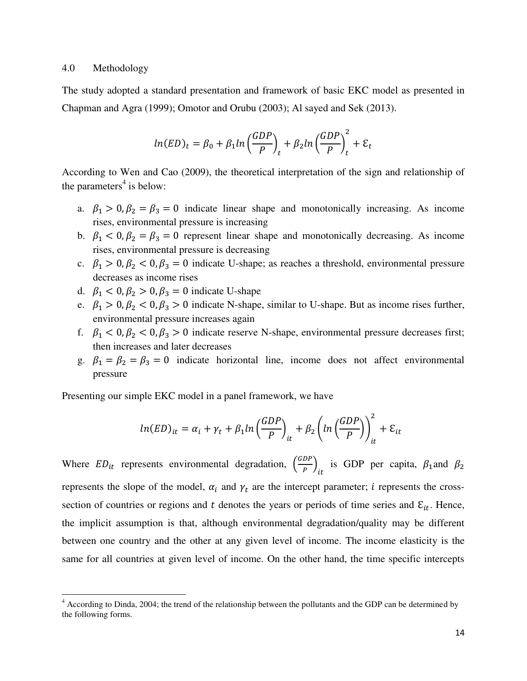## 4.0 Methodology

The study adopted a standard presentation and framework of basic EKC model as presented in Chapman and Agra (1999); Omotor and Orubu (2003); Al sayed and Sek (2013).

$$
ln(ED)_t = \beta_0 + \beta_1 ln\left(\frac{GDP}{P}\right)_t + \beta_2 ln\left(\frac{GDP}{P}\right)_t^2 + \varepsilon_t
$$

According to Wen and Cao (2009), the theoretical interpretation of the sign and relationship of the parameters<sup>4</sup> is below:

- a.  $\beta_1 > 0$ ,  $\beta_2 = \beta_3 = 0$  indicate linear shape and monotonically increasing. As income rises, environmental pressure is increasing
- b.  $\beta_1 < 0, \beta_2 = \beta_3 = 0$  represent linear shape and monotonically decreasing. As income rises, environmental pressure is decreasing
- c.  $\beta_1 > 0, \beta_2 < 0, \beta_3 = 0$  indicate U-shape; as reaches a threshold, environmental pressure decreases as income rises
- d.  $\beta_1 < 0, \beta_2 > 0, \beta_3 = 0$  indicate U-shape
- e.  $\beta_1 > 0, \beta_2 < 0, \beta_3 > 0$  indicate N-shape, similar to U-shape. But as income rises further, environmental pressure increases again
- f.  $\beta_1 < 0, \beta_2 < 0, \beta_3 > 0$  indicate reserve N-shape, environmental pressure decreases first; then increases and later decreases
- g.  $\beta_1 = \beta_2 = \beta_3 = 0$  indicate horizontal line, income does not affect environmental pressure

Presenting our simple EKC model in a panel framework, we have

$$
ln(ED)_{it} = \alpha_i + \gamma_t + \beta_1 ln\left(\frac{GDP}{P}\right)_{it} + \beta_2 \left(ln\left(\frac{GDP}{P}\right)\right)_{it}^2 + \varepsilon_{it}
$$

Where  $ED_{it}$  represents environmental degradation,  $\left(\frac{G}{E}\right)$  $\overline{P}\big)_i$ is GDP per capita,  $\beta_1$  and represents the slope of the model,  $\alpha_i$  and  $\gamma_t$  are the intercept parameter; i represents the crosssection of countries or regions and t denotes the years or periods of time series and  $\mathcal{E}_{it}$ . Hence, the implicit assumption is that, although environmental degradation/quality may be different between one country and the other at any given level of income. The income elasticity is the same for all countries at given level of income. On the other hand, the time specific intercepts

 4 According to Dinda, 2004; the trend of the relationship between the pollutants and the GDP can be determined by the following forms.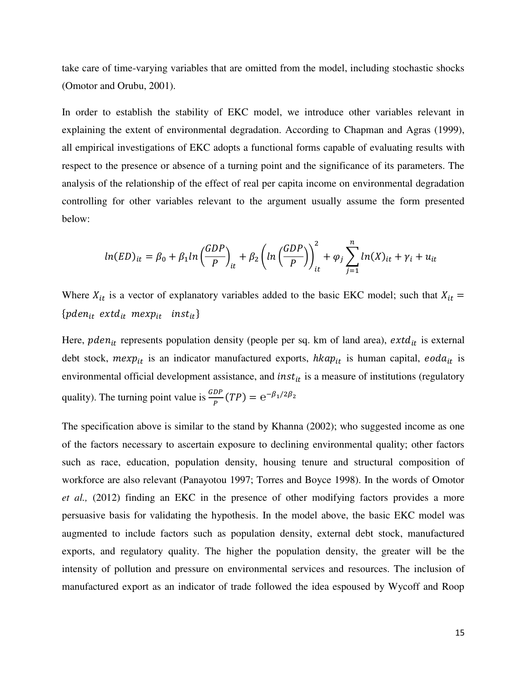take care of time-varying variables that are omitted from the model, including stochastic shocks (Omotor and Orubu, 2001).

In order to establish the stability of EKC model, we introduce other variables relevant in explaining the extent of environmental degradation. According to Chapman and Agras (1999), all empirical investigations of EKC adopts a functional forms capable of evaluating results with respect to the presence or absence of a turning point and the significance of its parameters. The analysis of the relationship of the effect of real per capita income on environmental degradation controlling for other variables relevant to the argument usually assume the form presented below:

$$
ln(ED)_{it} = \beta_0 + \beta_1 ln\left(\frac{GDP}{P}\right)_{it} + \beta_2 \left(ln\left(\frac{GDP}{P}\right)\right)_{it}^2 + \varphi_j \sum_{j=1}^n ln(X)_{it} + \gamma_i + u_{it}
$$

Where  $X_{it}$  is a vector of explanatory variables added to the basic EKC model; such that  $X_{it}$  = {pden<sub>it</sub> extd<sub>it</sub> mexp<sub>it</sub> inst<sub>it</sub>}

Here,  $pden_{it}$  represents population density (people per sq. km of land area),  $ext{d}_{it}$  is external debt stock,  $mexp_{it}$  is an indicator manufactured exports,  $hkap_{it}$  is human capital,  $eoda_{it}$  is environmental official development assistance, and  $inst_{it}$  is a measure of institutions (regulatory quality). The turning point value is  $\frac{d^{2}P}{P}(TP) = e^{-}$ 

The specification above is similar to the stand by Khanna (2002); who suggested income as one of the factors necessary to ascertain exposure to declining environmental quality; other factors such as race, education, population density, housing tenure and structural composition of workforce are also relevant (Panayotou 1997; Torres and Boyce 1998). In the words of Omotor *et al.,* (2012) finding an EKC in the presence of other modifying factors provides a more persuasive basis for validating the hypothesis. In the model above, the basic EKC model was augmented to include factors such as population density, external debt stock, manufactured exports, and regulatory quality. The higher the population density, the greater will be the intensity of pollution and pressure on environmental services and resources. The inclusion of manufactured export as an indicator of trade followed the idea espoused by Wycoff and Roop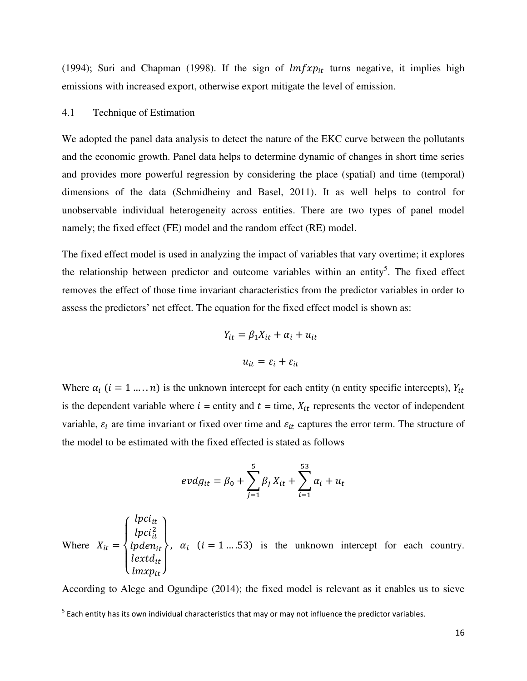(1994); Suri and Chapman (1998). If the sign of  $lmf x p_{it}$  turns negative, it implies high emissions with increased export, otherwise export mitigate the level of emission.

### 4.1 Technique of Estimation

We adopted the panel data analysis to detect the nature of the EKC curve between the pollutants and the economic growth. Panel data helps to determine dynamic of changes in short time series and provides more powerful regression by considering the place (spatial) and time (temporal) dimensions of the data (Schmidheiny and Basel, 2011). It as well helps to control for unobservable individual heterogeneity across entities. There are two types of panel model namely; the fixed effect (FE) model and the random effect (RE) model.

The fixed effect model is used in analyzing the impact of variables that vary overtime; it explores the relationship between predictor and outcome variables within an entity<sup>5</sup>. The fixed effect removes the effect of those time invariant characteristics from the predictor variables in order to assess the predictors' net effect. The equation for the fixed effect model is shown as:

$$
Y_{it} = \beta_1 X_{it} + \alpha_i + u_{it}
$$

$$
u_{it} = \varepsilon_i + \varepsilon_{it}
$$

Where  $\alpha_i$  ( $i = 1,...,n$ ) is the unknown intercept for each entity (n entity specific intercepts), is the dependent variable where  $i =$  entity and  $t =$  time,  $X_{it}$  represents the vector of independent variable,  $\varepsilon_i$  are time invariant or fixed over time and  $\varepsilon_{it}$  captures the error term. The structure of the model to be estimated with the fixed effected is stated as follows

$$
evdg_{it} = \beta_0 + \sum_{j=1}^{5} \beta_j X_{it} + \sum_{i=1}^{53} \alpha_i + u_t
$$

Where  $\overline{\phantom{a}}$  $\mathbf{I}$  $\mathbf{I}$  $\mathbf{I}$  $\mathbf{I}$  $\iota$  $lpci_{it}^2$  $\iota$  $\left\{ \begin{array}{c} \text{lextd}_{it} \\ \text{lex}\text{cm} \end{array} \right\}$  $\iota$  $\mathbf{I}$  $\overline{1}$  $\mathbf{I}$ ,  $\alpha_i$  (*i* = 1 ... 53) is the unknown intercept for each country.

According to Alege and Ogundipe (2014); the fixed model is relevant as it enables us to sieve

<sup>&</sup>lt;u>-</u><br><sup>5</sup> Each entity has its own individual characteristics that may or may not influence the predictor variables.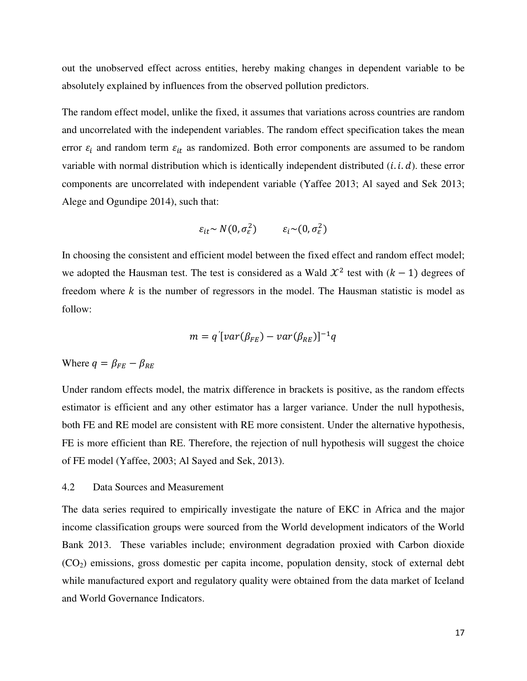out the unobserved effect across entities, hereby making changes in dependent variable to be absolutely explained by influences from the observed pollution predictors.

The random effect model, unlike the fixed, it assumes that variations across countries are random and uncorrelated with the independent variables. The random effect specification takes the mean error  $\varepsilon_i$  and random term  $\varepsilon_{it}$  as randomized. Both error components are assumed to be random variable with normal distribution which is identically independent distributed  $(i, i, d)$ . these error components are uncorrelated with independent variable (Yaffee 2013; Al sayed and Sek 2013; Alege and Ogundipe 2014), such that:

$$
\varepsilon_{it} \sim N(0, \sigma_{\varepsilon}^2) \qquad \varepsilon_i \sim (0, \sigma_{\varepsilon}^2)
$$

In choosing the consistent and efficient model between the fixed effect and random effect model; we adopted the Hausman test. The test is considered as a Wald  $\mathcal{X}^2$  test with  $(k-1)$  degrees of freedom where  $k$  is the number of regressors in the model. The Hausman statistic is model as follow:

$$
m = q'[var(\beta_{FE}) - var(\beta_{RE})]^{-1}q
$$

Where  $q = \beta_{FE} - \beta_{RE}$ 

Under random effects model, the matrix difference in brackets is positive, as the random effects estimator is efficient and any other estimator has a larger variance. Under the null hypothesis, both FE and RE model are consistent with RE more consistent. Under the alternative hypothesis, FE is more efficient than RE. Therefore, the rejection of null hypothesis will suggest the choice of FE model (Yaffee, 2003; Al Sayed and Sek, 2013).

# 4.2 Data Sources and Measurement

The data series required to empirically investigate the nature of EKC in Africa and the major income classification groups were sourced from the World development indicators of the World Bank 2013. These variables include; environment degradation proxied with Carbon dioxide (CO2) emissions, gross domestic per capita income, population density, stock of external debt while manufactured export and regulatory quality were obtained from the data market of Iceland and World Governance Indicators.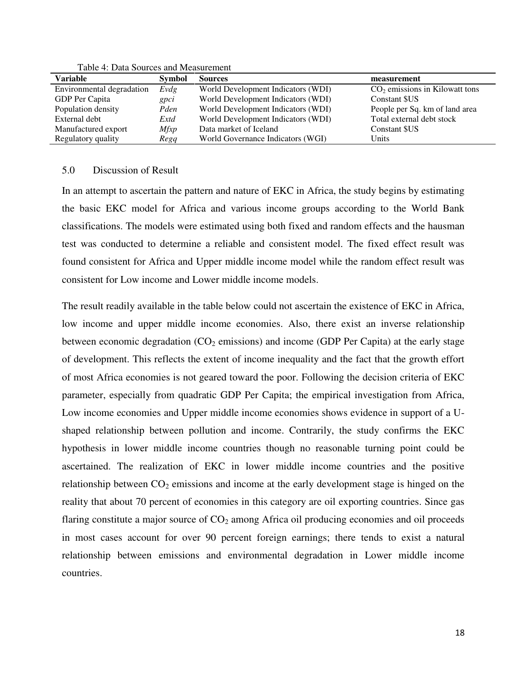| <b>Variable</b>           | <b>Symbol</b> | <b>Sources</b>                     | measurement                      |
|---------------------------|---------------|------------------------------------|----------------------------------|
| Environmental degradation | Evdg          | World Development Indicators (WDI) | $CO2$ emissions in Kilowatt tons |
| GDP Per Capita            | gpci          | World Development Indicators (WDI) | Constant \$US                    |
| Population density        | Pden          | World Development Indicators (WDI) | People per Sq. km of land area   |
| External debt             | Extd          | World Development Indicators (WDI) | Total external debt stock        |
| Manufactured export       | Mfxp          | Data market of Iceland             | Constant \$US                    |
| Regulatory quality        | Regq          | World Governance Indicators (WGI)  | Units                            |

Table 4: Data Sources and Measurement

## 5.0 Discussion of Result

In an attempt to ascertain the pattern and nature of EKC in Africa, the study begins by estimating the basic EKC model for Africa and various income groups according to the World Bank classifications. The models were estimated using both fixed and random effects and the hausman test was conducted to determine a reliable and consistent model. The fixed effect result was found consistent for Africa and Upper middle income model while the random effect result was consistent for Low income and Lower middle income models.

The result readily available in the table below could not ascertain the existence of EKC in Africa, low income and upper middle income economies. Also, there exist an inverse relationship between economic degradation  $(CO_2$  emissions) and income (GDP Per Capita) at the early stage of development. This reflects the extent of income inequality and the fact that the growth effort of most Africa economies is not geared toward the poor. Following the decision criteria of EKC parameter, especially from quadratic GDP Per Capita; the empirical investigation from Africa, Low income economies and Upper middle income economies shows evidence in support of a Ushaped relationship between pollution and income. Contrarily, the study confirms the EKC hypothesis in lower middle income countries though no reasonable turning point could be ascertained. The realization of EKC in lower middle income countries and the positive relationship between  $CO_2$  emissions and income at the early development stage is hinged on the reality that about 70 percent of economies in this category are oil exporting countries. Since gas flaring constitute a major source of  $CO<sub>2</sub>$  among Africa oil producing economies and oil proceeds in most cases account for over 90 percent foreign earnings; there tends to exist a natural relationship between emissions and environmental degradation in Lower middle income countries.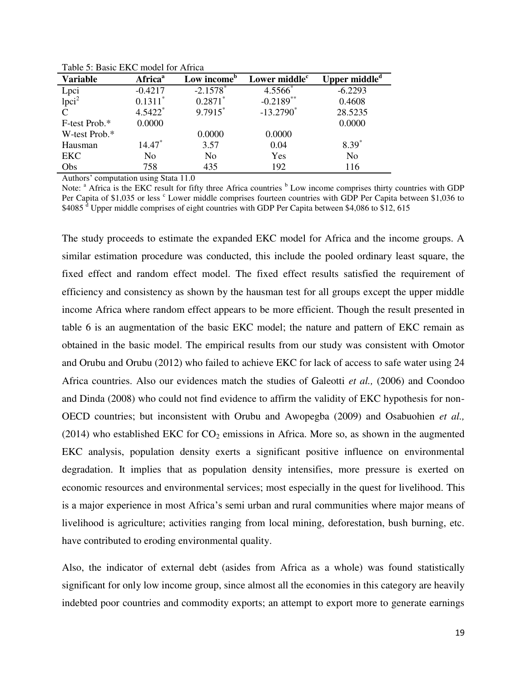| <b>Variable</b>           | Africa <sup>a</sup>   | Low income'            | Lower middle <sup>c</sup> | Upper middle <sup>d</sup> |
|---------------------------|-----------------------|------------------------|---------------------------|---------------------------|
|                           | $-0.4217$             | $-2.1578$ <sup>*</sup> | $4.5566*$                 | $-6.2293$                 |
| Lpci<br>lpci <sup>2</sup> | $0.1311$ <sup>*</sup> | $0.2871$ *             | $-0.2189$ **              | 0.4608                    |
| $\mathcal{C}$             | $4.5422$ <sup>*</sup> | 9.7915*                | $-13.2790$ <sup>*</sup>   | 28.5235                   |
| F-test Prob.*             | 0.0000                |                        |                           | 0.0000                    |
| W-test Prob.*             |                       | 0.0000                 | 0.0000                    |                           |
| Hausman                   | $14.47*$              | 3.57                   | 0.04                      | $8.39*$                   |
| <b>EKC</b>                | N <sub>o</sub>        | No                     | Yes                       | N <sub>o</sub>            |
| Obs                       | 758                   | 435                    | 192                       | 116                       |

Table 5: Basic EKC model for Africa

Authors' computation using Stata 11.0

Note: <sup>a</sup> Africa is the EKC result for fifty three Africa countries <sup>b</sup> Low income comprises thirty countries with GDP Per Capita of \$1,035 or less <sup>c</sup> Lower middle comprises fourteen countries with GDP Per Capita between \$1,036 to \$4085<sup>d</sup> Upper middle comprises of eight countries with GDP Per Capita between \$4,086 to \$12, 615

The study proceeds to estimate the expanded EKC model for Africa and the income groups. A similar estimation procedure was conducted, this include the pooled ordinary least square, the fixed effect and random effect model. The fixed effect results satisfied the requirement of efficiency and consistency as shown by the hausman test for all groups except the upper middle income Africa where random effect appears to be more efficient. Though the result presented in table 6 is an augmentation of the basic EKC model; the nature and pattern of EKC remain as obtained in the basic model. The empirical results from our study was consistent with Omotor and Orubu and Orubu (2012) who failed to achieve EKC for lack of access to safe water using 24 Africa countries. Also our evidences match the studies of Galeotti *et al.,* (2006) and Coondoo and Dinda (2008) who could not find evidence to affirm the validity of EKC hypothesis for non-OECD countries; but inconsistent with Orubu and Awopegba (2009) and Osabuohien *et al.,* (2014) who established EKC for  $CO<sub>2</sub>$  emissions in Africa. More so, as shown in the augmented EKC analysis, population density exerts a significant positive influence on environmental degradation. It implies that as population density intensifies, more pressure is exerted on economic resources and environmental services; most especially in the quest for livelihood. This is a major experience in most Africa's semi urban and rural communities where major means of livelihood is agriculture; activities ranging from local mining, deforestation, bush burning, etc. have contributed to eroding environmental quality.

Also, the indicator of external debt (asides from Africa as a whole) was found statistically significant for only low income group, since almost all the economies in this category are heavily indebted poor countries and commodity exports; an attempt to export more to generate earnings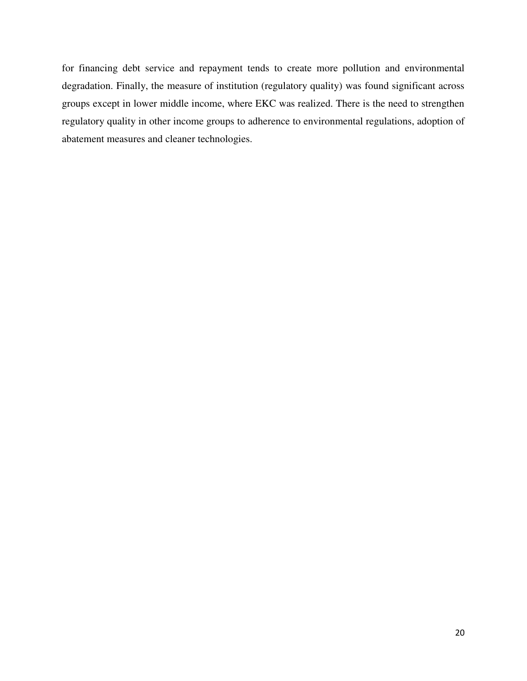for financing debt service and repayment tends to create more pollution and environmental degradation. Finally, the measure of institution (regulatory quality) was found significant across groups except in lower middle income, where EKC was realized. There is the need to strengthen regulatory quality in other income groups to adherence to environmental regulations, adoption of abatement measures and cleaner technologies.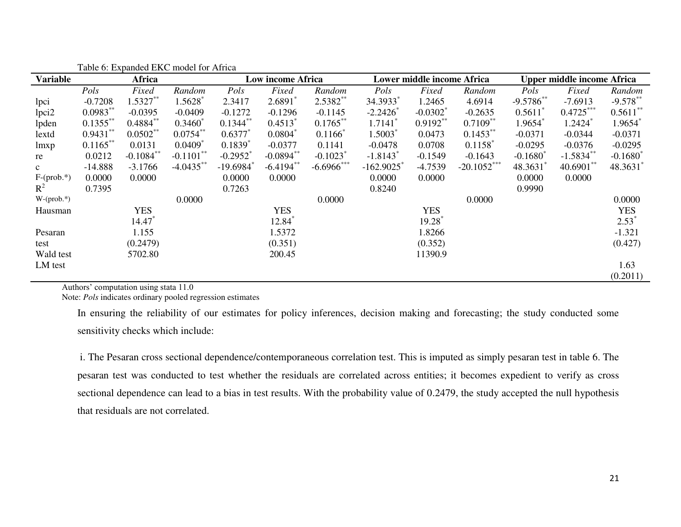| <b>Variable</b>   |             | Africa       |                         |                       | <b>Low income Africa</b> |              |                        | Lower middle income Africa |                       |                     | <b>Upper middle income Africa</b> |             |
|-------------------|-------------|--------------|-------------------------|-----------------------|--------------------------|--------------|------------------------|----------------------------|-----------------------|---------------------|-----------------------------------|-------------|
|                   | Pols        | Fixed        | Random                  | Pols                  | Fixed                    | Random       | Pols                   | Fixed                      | Random                | Pols                | Fixed                             | Random      |
| lpci              | $-0.7208$   | $1.5327**$   | 1.5628                  | 2.3417                | 2.6891 <sup>*</sup>      | $2.5382**$   | 34.3933 <sup>*</sup>   | 1.2465                     | 4.6914                | $-9.5786$ **        | $-7.6913$                         | $-9.578**$  |
| lpci <sub>2</sub> | $0.0983$ ** | $-0.0395$    | $-0.0409$               | $-0.1272$             | $-0.1296$                | $-0.1145$    | $-2.2426$              | $-0.0302$ <sup>*</sup>     | $-0.2635$             | 0.5611              | $0.4725***$                       | $0.5611$ ** |
| lpden             | $0.1355$ ** | $0.4884$ **  | $0.3460^*$              | $0.1344$ **           | $0.4513$ <sup>*</sup>    | $0.1765$ **  | $1.7141$ <sup>*</sup>  | $0.9192**$                 | $0.7109$ **           | 1.9654              | 1.2424                            | 1.9654      |
| lextd             | $0.9431$ ** | $0.0502**$   | $0.0754$ *              | 0.6377                | 0.0804                   | $0.1166^*$   | $1.5003$ <sup>*</sup>  | 0.0473                     | $0.1453$ **           | $-0.0371$           | $-0.0344$                         | $-0.0371$   |
| lmxp              | $0.1165$ ** | 0.0131       | $0.0409$ <sup>*</sup>   | $0.1839$ <sup>*</sup> | $-0.0377$                | 0.1141       | $-0.0478$              | 0.0708                     | $0.1158$ <sup>*</sup> | $-0.0295$           | $-0.0376$                         | $-0.0295$   |
| re                | 0.0212      | $-0.1084$ ** | $-0.1101$ <sup>**</sup> | $-0.2952$             | $-0.0894$ **             | $-0.1023$    | $-1.8143$ <sup>*</sup> | $-0.1549$                  | $-0.1643$             | $-0.1680^{\degree}$ | $-1.5834$ **                      | $-0.1680^*$ |
| $\mathbf{c}$      | $-14.888$   | $-3.1766$    | $-4.0435$ **            | $-19.6984$            | $-6.4194$ **             | $-6.6966$ ** | $-162.9025$            | $-4.7539$                  | $-20.1052$ ***        | 48.3631             | 40.6901                           | 48.3631     |
| $F-(prob.*)$      | 0.0000      | 0.0000       |                         | 0.0000                | 0.0000                   |              | 0.0000                 | 0.0000                     |                       | 0.0000              | 0.0000                            |             |
| $\mathbf{R}^2$    | 0.7395      |              |                         | 0.7263                |                          |              | 0.8240                 |                            |                       | 0.9990              |                                   |             |
| $W$ -(prob.*)     |             |              | 0.0000                  |                       |                          | 0.0000       |                        |                            | 0.0000                |                     |                                   | 0.0000      |
| Hausman           |             | <b>YES</b>   |                         |                       | <b>YES</b>               |              |                        | <b>YES</b>                 |                       |                     |                                   | <b>YES</b>  |
|                   |             | $14.47*$     |                         |                       | $12.84$ <sup>*</sup>     |              |                        | 19.28                      |                       |                     |                                   | $2.53*$     |
| Pesaran           |             | 1.155        |                         |                       | 1.5372                   |              |                        | 1.8266                     |                       |                     |                                   | $-1.321$    |
| test              |             | (0.2479)     |                         |                       | (0.351)                  |              |                        | (0.352)                    |                       |                     |                                   | (0.427)     |
| Wald test         |             | 5702.80      |                         |                       | 200.45                   |              |                        | 11390.9                    |                       |                     |                                   |             |
| LM test           |             |              |                         |                       |                          |              |                        |                            |                       |                     |                                   | 1.63        |
|                   |             |              |                         |                       |                          |              |                        |                            |                       |                     |                                   | (0.2011)    |

Table 6: Expanded EKC model for Africa

Authors' computation using stata 11.0

Note: *Pols* indicates ordinary pooled regression estimates

In ensuring the reliability of our estimates for policy inferences, decision making and forecasting; the study conducted some sensitivity checks which include:

 i. The Pesaran cross sectional dependence/contemporaneous correlation test. This is imputed as simply pesaran test in table 6. The pesaran test was conducted to test whether the residuals are correlated across entities; it becomes expedient to verify as cross sectional dependence can lead to a bias in test results. With the probability value of 0.2479, the study accepted the null hypothesis that residuals are not correlated.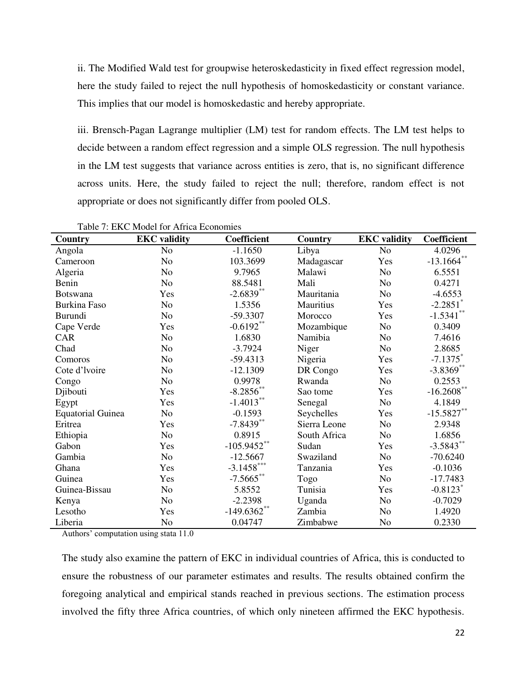ii. The Modified Wald test for groupwise heteroskedasticity in fixed effect regression model, here the study failed to reject the null hypothesis of homoskedasticity or constant variance. This implies that our model is homoskedastic and hereby appropriate.

iii. Brensch-Pagan Lagrange multiplier (LM) test for random effects. The LM test helps to decide between a random effect regression and a simple OLS regression. The null hypothesis in the LM test suggests that variance across entities is zero, that is, no significant difference across units. Here, the study failed to reject the null; therefore, random effect is not appropriate or does not significantly differ from pooled OLS.

| Country                  | <b>EKC</b> validity | Coefficient   | Country      | <b>EKC</b> validity | Coefficient            |
|--------------------------|---------------------|---------------|--------------|---------------------|------------------------|
| Angola                   | No                  | $-1.1650$     | Libya        | No                  | 4.0296                 |
| Cameroon                 | No                  | 103.3699      | Madagascar   | Yes                 | $-13.1664**$           |
| Algeria                  | N <sub>o</sub>      | 9.7965        | Malawi       | N <sub>o</sub>      | 6.5551                 |
| Benin                    | N <sub>o</sub>      | 88.5481       | Mali         | No                  | 0.4271                 |
| <b>Botswana</b>          | Yes                 | $-2.6839**$   | Mauritania   | No                  | $-4.6553$              |
| <b>Burkina Faso</b>      | N <sub>o</sub>      | 1.5356        | Mauritius    | Yes                 | $-2.2851$ <sup>*</sup> |
| Burundi                  | N <sub>o</sub>      | -59.3307      | Morocco      | Yes                 | $-1.5341$ **           |
| Cape Verde               | Yes                 | $-0.6192**$   | Mozambique   | No                  | 0.3409                 |
| <b>CAR</b>               | N <sub>o</sub>      | 1.6830        | Namibia      | No                  | 7.4616                 |
| Chad                     | No                  | $-3.7924$     | Niger        | No                  | 2.8685                 |
| Comoros                  | N <sub>o</sub>      | $-59.4313$    | Nigeria      | Yes                 | $-7.1375$              |
| Cote d'Ivoire            | N <sub>o</sub>      | $-12.1309$    | DR Congo     | Yes                 | $-3.8369$ **           |
| Congo                    | N <sub>o</sub>      | 0.9978        | Rwanda       | No                  | 0.2553                 |
| Djibouti                 | Yes                 | $-8.2856$ **  | Sao tome     | Yes                 | $-16.2608$ **          |
| Egypt                    | Yes                 | $-1.4013***$  | Senegal      | No                  | 4.1849                 |
| <b>Equatorial Guinea</b> | No                  | $-0.1593$     | Seychelles   | Yes                 | $-15.5827**$           |
| Eritrea                  | Yes                 | $-7.8439***$  | Sierra Leone | N <sub>o</sub>      | 2.9348                 |
| Ethiopia                 | No                  | 0.8915        | South Africa | No                  | 1.6856                 |
| Gabon                    | Yes                 | $-105.9452**$ | Sudan        | Yes                 | $-3.5843**$            |
| Gambia                   | N <sub>o</sub>      | $-12.5667$    | Swaziland    | No                  | $-70.6240$             |
| Ghana                    | Yes                 | $-3.1458***$  | Tanzania     | Yes                 | $-0.1036$              |
| Guinea                   | Yes                 | $-7.5665$ **  | Togo         | No                  | $-17.7483$             |
| Guinea-Bissau            | No                  | 5.8552        | Tunisia      | Yes                 | $-0.8123$ <sup>*</sup> |
| Kenya                    | N <sub>0</sub>      | $-2.2398$     | Uganda       | No                  | $-0.7029$              |
| Lesotho                  | Yes                 | $-149.6362**$ | Zambia       | No                  | 1.4920                 |
| Liberia                  | No                  | 0.04747       | Zimbabwe     | No                  | 0.2330                 |

Table 7: EKC Model for Africa Economies

Authors' computation using stata 11.0

The study also examine the pattern of EKC in individual countries of Africa, this is conducted to ensure the robustness of our parameter estimates and results. The results obtained confirm the foregoing analytical and empirical stands reached in previous sections. The estimation process involved the fifty three Africa countries, of which only nineteen affirmed the EKC hypothesis.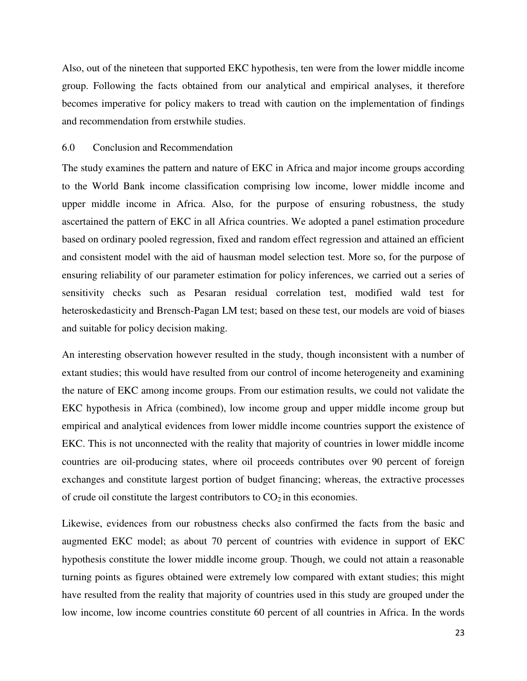Also, out of the nineteen that supported EKC hypothesis, ten were from the lower middle income group. Following the facts obtained from our analytical and empirical analyses, it therefore becomes imperative for policy makers to tread with caution on the implementation of findings and recommendation from erstwhile studies.

## 6.0 Conclusion and Recommendation

The study examines the pattern and nature of EKC in Africa and major income groups according to the World Bank income classification comprising low income, lower middle income and upper middle income in Africa. Also, for the purpose of ensuring robustness, the study ascertained the pattern of EKC in all Africa countries. We adopted a panel estimation procedure based on ordinary pooled regression, fixed and random effect regression and attained an efficient and consistent model with the aid of hausman model selection test. More so, for the purpose of ensuring reliability of our parameter estimation for policy inferences, we carried out a series of sensitivity checks such as Pesaran residual correlation test, modified wald test for heteroskedasticity and Brensch-Pagan LM test; based on these test, our models are void of biases and suitable for policy decision making.

An interesting observation however resulted in the study, though inconsistent with a number of extant studies; this would have resulted from our control of income heterogeneity and examining the nature of EKC among income groups. From our estimation results, we could not validate the EKC hypothesis in Africa (combined), low income group and upper middle income group but empirical and analytical evidences from lower middle income countries support the existence of EKC. This is not unconnected with the reality that majority of countries in lower middle income countries are oil-producing states, where oil proceeds contributes over 90 percent of foreign exchanges and constitute largest portion of budget financing; whereas, the extractive processes of crude oil constitute the largest contributors to  $CO<sub>2</sub>$  in this economies.

Likewise, evidences from our robustness checks also confirmed the facts from the basic and augmented EKC model; as about 70 percent of countries with evidence in support of EKC hypothesis constitute the lower middle income group. Though, we could not attain a reasonable turning points as figures obtained were extremely low compared with extant studies; this might have resulted from the reality that majority of countries used in this study are grouped under the low income, low income countries constitute 60 percent of all countries in Africa. In the words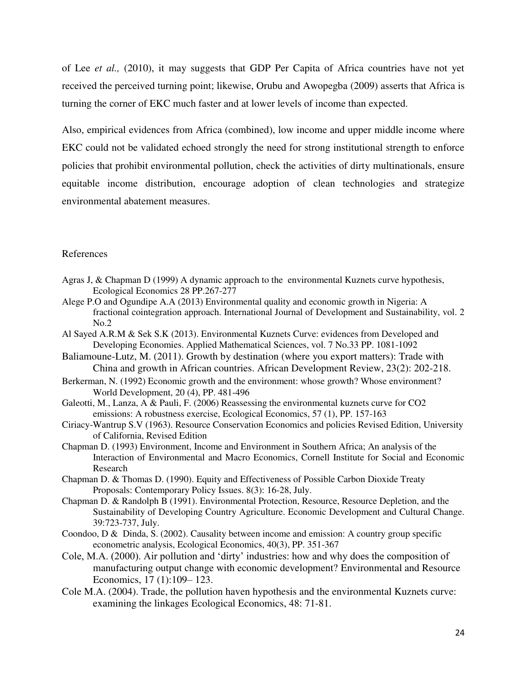of Lee *et al.,* (2010), it may suggests that GDP Per Capita of Africa countries have not yet received the perceived turning point; likewise, Orubu and Awopegba (2009) asserts that Africa is turning the corner of EKC much faster and at lower levels of income than expected.

Also, empirical evidences from Africa (combined), low income and upper middle income where EKC could not be validated echoed strongly the need for strong institutional strength to enforce policies that prohibit environmental pollution, check the activities of dirty multinationals, ensure equitable income distribution, encourage adoption of clean technologies and strategize environmental abatement measures.

#### References

- Agras J, & Chapman D (1999) A dynamic approach to the environmental Kuznets curve hypothesis, Ecological Economics 28 PP.267-277
- Alege P.O and Ogundipe A.A (2013) Environmental quality and economic growth in Nigeria: A fractional cointegration approach. International Journal of Development and Sustainability, vol. 2 No.2
- Al Sayed A.R.M & Sek S.K (2013). Environmental Kuznets Curve: evidences from Developed and Developing Economies. Applied Mathematical Sciences, vol. 7 No.33 PP. 1081-1092
- Baliamoune-Lutz, M. (2011). Growth by destination (where you export matters): Trade with China and growth in African countries. African Development Review, 23(2): 202-218.
- Berkerman, N. (1992) Economic growth and the environment: whose growth? Whose environment? World Development, 20 (4), PP. 481-496
- Galeotti, M., Lanza, A & Pauli, F. (2006) Reassessing the environmental kuznets curve for CO2 emissions: A robustness exercise, Ecological Economics, 57 (1), PP. 157-163
- Ciriacy-Wantrup S.V (1963). Resource Conservation Economics and policies Revised Edition, University of California, Revised Edition
- Chapman D. (1993) Environment, Income and Environment in Southern Africa; An analysis of the Interaction of Environmental and Macro Economics, Cornell Institute for Social and Economic Research
- Chapman D. & Thomas D. (1990). Equity and Effectiveness of Possible Carbon Dioxide Treaty Proposals: Contemporary Policy Issues. 8(3): 16-28, July.
- Chapman D. & Randolph B (1991). Environmental Protection, Resource, Resource Depletion, and the Sustainability of Developing Country Agriculture. Economic Development and Cultural Change. 39:723-737, July.
- Coondoo, D & Dinda, S. (2002). Causality between income and emission: A country group specific econometric analysis, Ecological Economics, 40(3), PP. 351-367
- Cole, M.A. (2000). Air pollution and 'dirty' industries: how and why does the composition of manufacturing output change with economic development? Environmental and Resource Economics, 17 (1):109– 123.
- Cole M.A. (2004). Trade, the pollution haven hypothesis and the environmental Kuznets curve: examining the linkages Ecological Economics, 48: 71-81.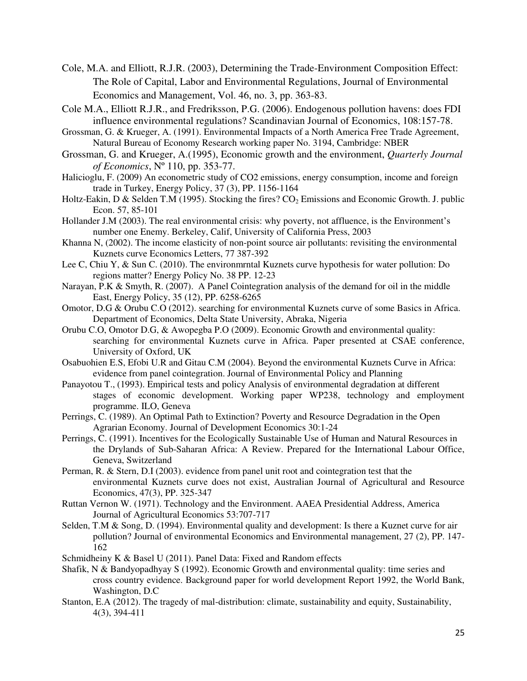- Cole, M.A. and Elliott, R.J.R. (2003), Determining the Trade-Environment Composition Effect: The Role of Capital, Labor and Environmental Regulations, Journal of Environmental Economics and Management, Vol. 46, no. 3, pp. 363-83.
- Cole M.A., Elliott R.J.R., and Fredriksson, P.G. (2006). Endogenous pollution havens: does FDI influence environmental regulations? Scandinavian Journal of Economics, 108:157-78.
- Grossman, G. & Krueger, A. (1991). Environmental Impacts of a North America Free Trade Agreement, Natural Bureau of Economy Research working paper No. 3194, Cambridge: NBER
- Grossman, G. and Krueger, A.(1995), Economic growth and the environment, *Quarterly Journal of Economics*, Nº 110, pp. 353-77.
- Halicioglu, F. (2009) An econometric study of CO2 emissions, energy consumption, income and foreign trade in Turkey, Energy Policy, 37 (3), PP. 1156-1164
- Holtz-Eakin, D & Selden T.M (1995). Stocking the fires?  $CO<sub>2</sub>$  Emissions and Economic Growth. J. public Econ. 57, 85-101
- Hollander J.M (2003). The real environmental crisis: why poverty, not affluence, is the Environment's number one Enemy. Berkeley, Calif, University of California Press, 2003
- Khanna N, (2002). The income elasticity of non-point source air pollutants: revisiting the environmental Kuznets curve Economics Letters, 77 387-392
- Lee C, Chiu Y, & Sun C. (2010). The environmrntal Kuznets curve hypothesis for water pollution: Do regions matter? Energy Policy No. 38 PP. 12-23
- Narayan, P.K & Smyth, R. (2007). A Panel Cointegration analysis of the demand for oil in the middle East, Energy Policy, 35 (12), PP. 6258-6265
- Omotor, D.G & Orubu C.O (2012). searching for environmental Kuznets curve of some Basics in Africa. Department of Economics, Delta State University, Abraka, Nigeria
- Orubu C.O, Omotor D.G, & Awopegba P.O (2009). Economic Growth and environmental quality: searching for environmental Kuznets curve in Africa. Paper presented at CSAE conference, University of Oxford, UK
- Osabuohien E.S, Efobi U.R and Gitau C.M (2004). Beyond the environmental Kuznets Curve in Africa: evidence from panel cointegration. Journal of Environmental Policy and Planning
- Panayotou T., (1993). Empirical tests and policy Analysis of environmental degradation at different stages of economic development. Working paper WP238, technology and employment programme. ILO, Geneva
- Perrings, C. (1989). An Optimal Path to Extinction? Poverty and Resource Degradation in the Open Agrarian Economy. Journal of Development Economics 30:1-24
- Perrings, C. (1991). Incentives for the Ecologically Sustainable Use of Human and Natural Resources in the Drylands of Sub-Saharan Africa: A Review. Prepared for the International Labour Office, Geneva, Switzerland
- Perman, R. & Stern, D.I (2003). evidence from panel unit root and cointegration test that the environmental Kuznets curve does not exist, Australian Journal of Agricultural and Resource Economics, 47(3), PP. 325-347
- Ruttan Vernon W. (1971). Technology and the Environment. AAEA Presidential Address, America Journal of Agricultural Economics 53:707-717
- Selden, T.M & Song, D. (1994). Environmental quality and development: Is there a Kuznet curve for air pollution? Journal of environmental Economics and Environmental management, 27 (2), PP. 147- 162
- Schmidheiny K & Basel U (2011). Panel Data: Fixed and Random effects
- Shafik, N & Bandyopadhyay S (1992). Economic Growth and environmental quality: time series and cross country evidence. Background paper for world development Report 1992, the World Bank, Washington, D.C
- Stanton, E.A (2012). The tragedy of mal-distribution: climate, sustainability and equity, Sustainability, 4(3), 394-411